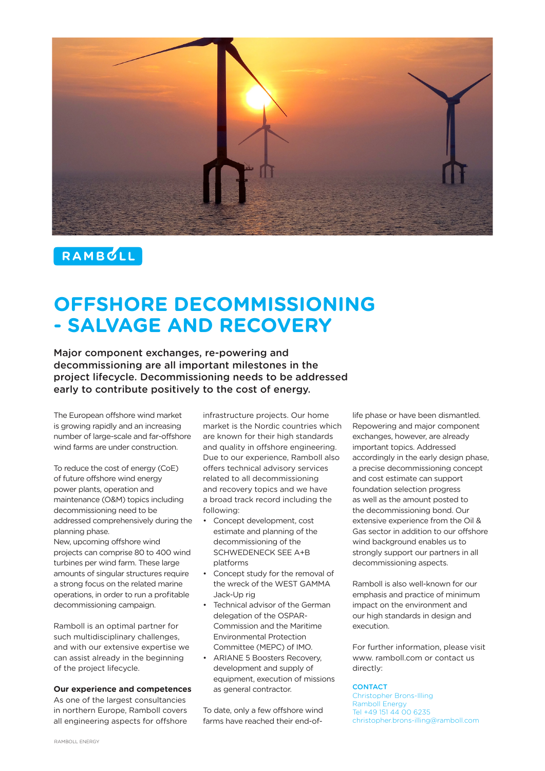

# RAMBULL

# **OFFSHORE DECOMMISSIONING - SALVAGE AND RECOVERY**

Major component exchanges, re-powering and decommissioning are all important milestones in the project lifecycle. Decommissioning needs to be addressed early to contribute positively to the cost of energy.

The European offshore wind market is growing rapidly and an increasing number of large-scale and far-offshore wind farms are under construction.

To reduce the cost of energy (CoE) of future offshore wind energy power plants, operation and maintenance (O&M) topics including decommissioning need to be addressed comprehensively during the planning phase.

New, upcoming offshore wind projects can comprise 80 to 400 wind turbines per wind farm. These large amounts of singular structures require a strong focus on the related marine operations, in order to run a profitable decommissioning campaign.

Ramboll is an optimal partner for such multidisciplinary challenges, and with our extensive expertise we can assist already in the beginning of the project lifecycle.

# **Our experience and competences**

As one of the largest consultancies in northern Europe, Ramboll covers all engineering aspects for offshore infrastructure projects. Our home market is the Nordic countries which are known for their high standards and quality in offshore engineering. Due to our experience, Ramboll also offers technical advisory services related to all decommissioning and recovery topics and we have a broad track record including the following:

- Concept development, cost estimate and planning of the decommissioning of the SCHWEDENECK SEE A+B platforms
- Concept study for the removal of the wreck of the WEST GAMMA Jack-Up rig
- Technical advisor of the German delegation of the OSPAR-Commission and the Maritime Environmental Protection Committee (MEPC) of IMO.
- ARIANE 5 Boosters Recovery, development and supply of equipment, execution of missions as general contractor.

To date, only a few offshore wind farms have reached their end-oflife phase or have been dismantled. Repowering and major component exchanges, however, are already important topics. Addressed accordingly in the early design phase, a precise decommissioning concept and cost estimate can support foundation selection progress as well as the amount posted to the decommissioning bond. Our extensive experience from the Oil & Gas sector in addition to our offshore wind background enables us to strongly support our partners in all decommissioning aspects.

Ramboll is also well-known for our emphasis and practice of minimum impact on the environment and our high standards in design and execution.

For further information, please visit www. ramboll.com or contact us directly:

# **CONTACT**

Christopher Brons-Illing Ramboll Energy Tel +49 151 44 00 6235 christopher.brons-illing@ramboll.com